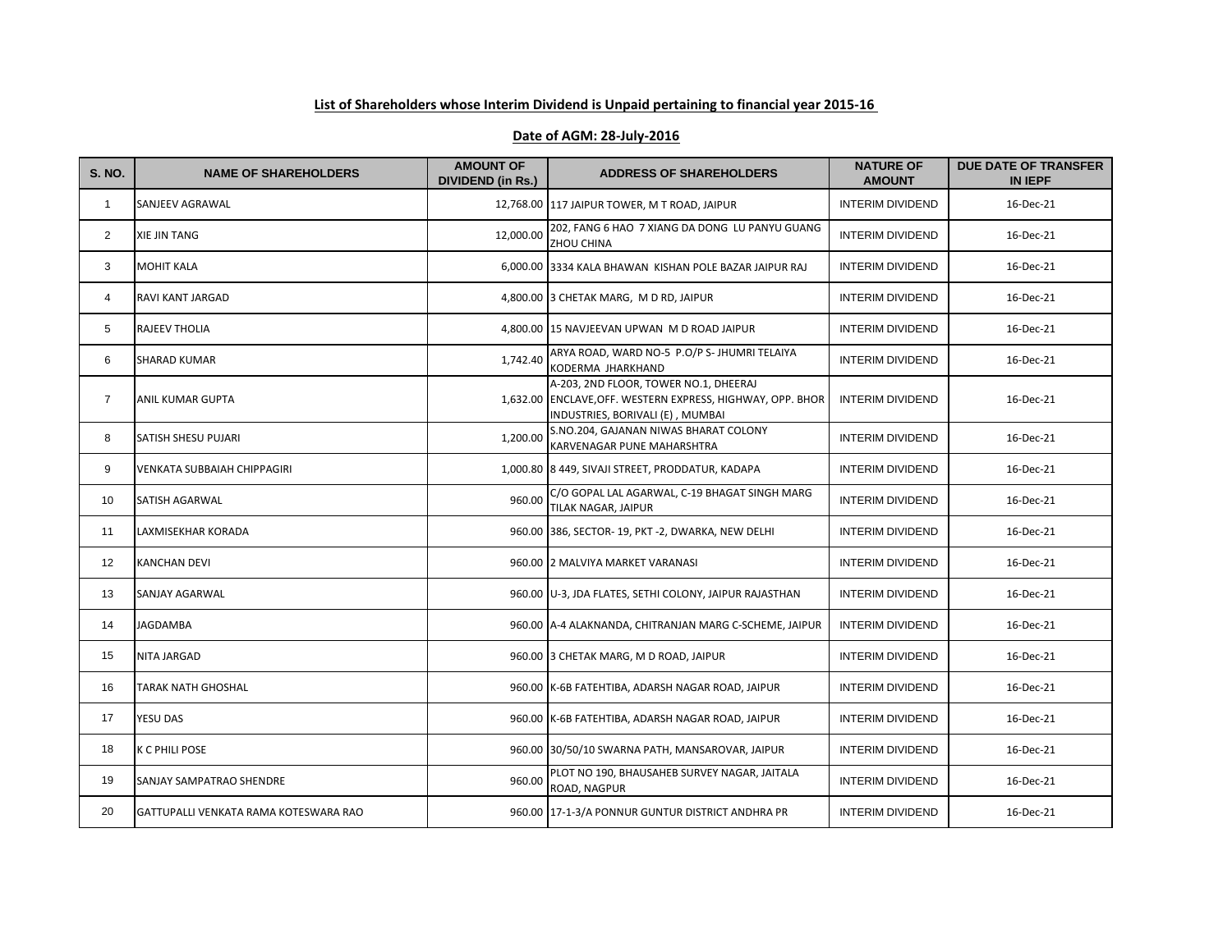## **List of Shareholders whose Interim Dividend is Unpaid pertaining to financial year 2015-16**

## **Date of AGM: 28-July-2016**

| <b>S. NO.</b>  | <b>NAME OF SHAREHOLDERS</b>           | <b>AMOUNT OF</b><br><b>DIVIDEND (in Rs.)</b> | <b>ADDRESS OF SHAREHOLDERS</b>                                                                                                          | <b>NATURE OF</b><br><b>AMOUNT</b> | <b>DUE DATE OF TRANSFER</b><br>IN IEPF |
|----------------|---------------------------------------|----------------------------------------------|-----------------------------------------------------------------------------------------------------------------------------------------|-----------------------------------|----------------------------------------|
| $\mathbf{1}$   | SANJEEV AGRAWAL                       |                                              | 12,768.00 117 JAIPUR TOWER, M T ROAD, JAIPUR                                                                                            | <b>INTERIM DIVIDEND</b>           | 16-Dec-21                              |
| $\overline{2}$ | <b>XIE JIN TANG</b>                   | 12,000.00                                    | 202, FANG 6 HAO 7 XIANG DA DONG LU PANYU GUANG<br>ZHOU CHINA                                                                            | <b>INTERIM DIVIDEND</b>           | 16-Dec-21                              |
| 3              | MOHIT KALA                            |                                              | 6,000.00 3334 KALA BHAWAN KISHAN POLE BAZAR JAIPUR RAJ                                                                                  | <b>INTERIM DIVIDEND</b>           | 16-Dec-21                              |
| 4              | RAVI KANT JARGAD                      |                                              | 4,800.00 3 CHETAK MARG, M D RD, JAIPUR                                                                                                  | <b>INTERIM DIVIDEND</b>           | 16-Dec-21                              |
| 5              | <b>RAJEEV THOLIA</b>                  |                                              | 4,800.00 15 NAVJEEVAN UPWAN M D ROAD JAIPUR                                                                                             | <b>INTERIM DIVIDEND</b>           | 16-Dec-21                              |
| 6              | <b>SHARAD KUMAR</b>                   | 1,742.40                                     | ARYA ROAD, WARD NO-5 P.O/P S- JHUMRI TELAIYA<br>KODERMA JHARKHAND                                                                       | <b>INTERIM DIVIDEND</b>           | 16-Dec-21                              |
| $\overline{7}$ | ANIL KUMAR GUPTA                      |                                              | A-203, 2ND FLOOR, TOWER NO.1, DHEERAJ<br>1,632.00 ENCLAVE, OFF. WESTERN EXPRESS, HIGHWAY, OPP. BHOR<br>INDUSTRIES, BORIVALI (E), MUMBAI | <b>INTERIM DIVIDEND</b>           | 16-Dec-21                              |
| 8              | <b>SATISH SHESU PUJARI</b>            | 1,200.00                                     | S.NO.204, GAJANAN NIWAS BHARAT COLONY<br>KARVENAGAR PUNE MAHARSHTRA                                                                     | <b>INTERIM DIVIDEND</b>           | 16-Dec-21                              |
| 9              | VENKATA SUBBAIAH CHIPPAGIRI           |                                              | 1,000.80   8 449, SIVAJI STREET, PRODDATUR, KADAPA                                                                                      | <b>INTERIM DIVIDEND</b>           | 16-Dec-21                              |
| 10             | <b>SATISH AGARWAL</b>                 | 960.00                                       | C/O GOPAL LAL AGARWAL, C-19 BHAGAT SINGH MARG<br>TILAK NAGAR, JAIPUR                                                                    | <b>INTERIM DIVIDEND</b>           | 16-Dec-21                              |
| 11             | LAXMISEKHAR KORADA                    |                                              | 960.00 386, SECTOR- 19, PKT -2, DWARKA, NEW DELHI                                                                                       | <b>INTERIM DIVIDEND</b>           | 16-Dec-21                              |
| 12             | <b>KANCHAN DEVI</b>                   |                                              | 960.00 2 MALVIYA MARKET VARANASI                                                                                                        | <b>INTERIM DIVIDEND</b>           | 16-Dec-21                              |
| 13             | SANJAY AGARWAL                        |                                              | 960.00 U-3, JDA FLATES, SETHI COLONY, JAIPUR RAJASTHAN                                                                                  | <b>INTERIM DIVIDEND</b>           | 16-Dec-21                              |
| 14             | <b>JAGDAMBA</b>                       |                                              | 960.00 A-4 ALAKNANDA, CHITRANJAN MARG C-SCHEME, JAIPUR                                                                                  | <b>INTERIM DIVIDEND</b>           | 16-Dec-21                              |
| 15             | <b>NITA JARGAD</b>                    |                                              | 960.00 3 CHETAK MARG, M D ROAD, JAIPUR                                                                                                  | <b>INTERIM DIVIDEND</b>           | 16-Dec-21                              |
| 16             | TARAK NATH GHOSHAL                    |                                              | 960.00 K-6B FATEHTIBA, ADARSH NAGAR ROAD, JAIPUR                                                                                        | <b>INTERIM DIVIDEND</b>           | 16-Dec-21                              |
| 17             | YESU DAS                              |                                              | 960.00 K-6B FATEHTIBA, ADARSH NAGAR ROAD, JAIPUR                                                                                        | <b>INTERIM DIVIDEND</b>           | 16-Dec-21                              |
| 18             | K C PHILI POSE                        |                                              | 960.00 30/50/10 SWARNA PATH, MANSAROVAR, JAIPUR                                                                                         | <b>INTERIM DIVIDEND</b>           | 16-Dec-21                              |
| 19             | <b>SANJAY SAMPATRAO SHENDRE</b>       | 960.00                                       | PLOT NO 190, BHAUSAHEB SURVEY NAGAR, JAITALA<br>ROAD, NAGPUR                                                                            | <b>INTERIM DIVIDEND</b>           | 16-Dec-21                              |
| 20             | GATTUPALLI VENKATA RAMA KOTESWARA RAO |                                              | 960.00 17-1-3/A PONNUR GUNTUR DISTRICT ANDHRA PR                                                                                        | <b>INTERIM DIVIDEND</b>           | 16-Dec-21                              |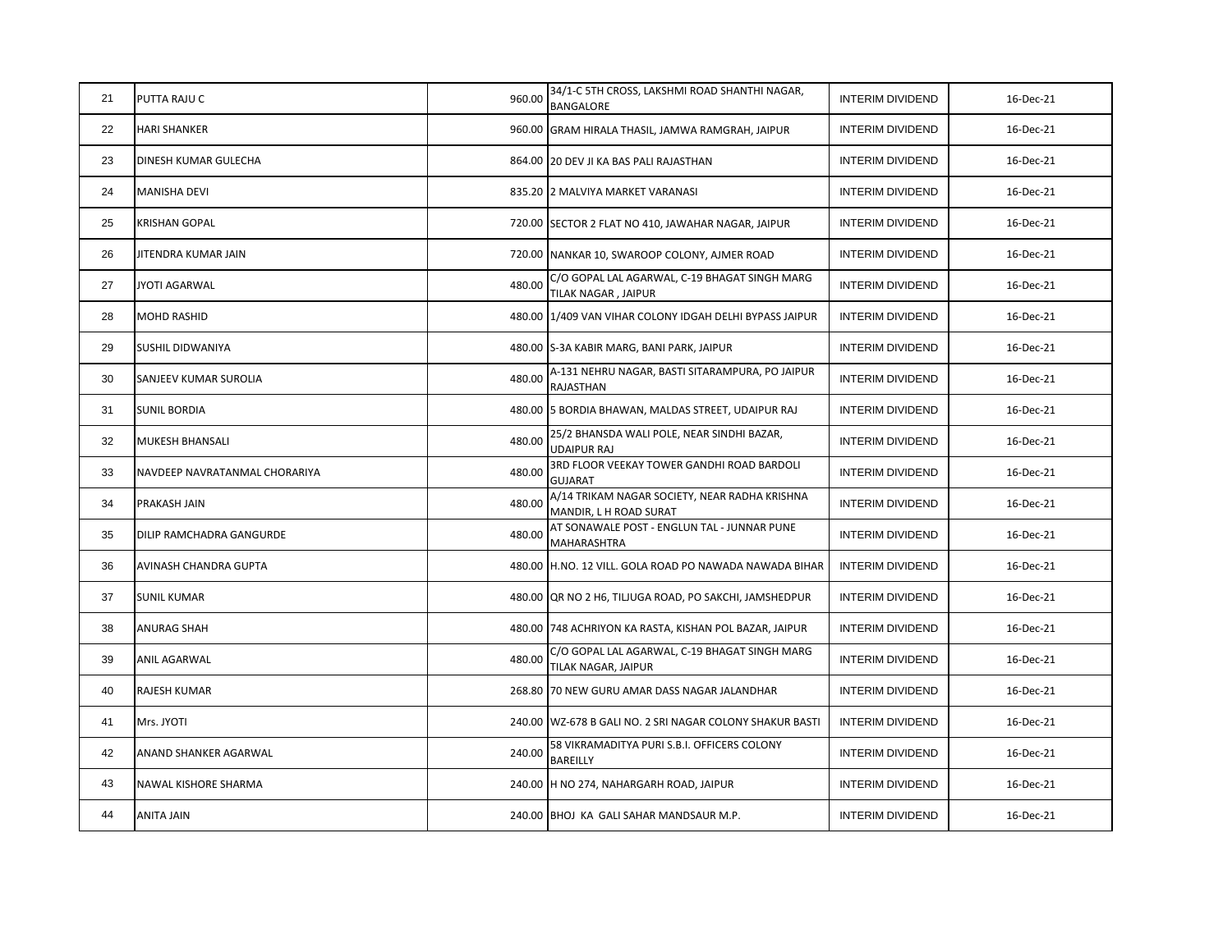| 21 | PUTTA RAJU C                  | 960.00 | 34/1-C 5TH CROSS, LAKSHMI ROAD SHANTHI NAGAR,<br>BANGALORE              | <b>INTERIM DIVIDEND</b> | 16-Dec-21 |
|----|-------------------------------|--------|-------------------------------------------------------------------------|-------------------------|-----------|
| 22 | HARI SHANKER                  |        | 960.00 GRAM HIRALA THASIL, JAMWA RAMGRAH, JAIPUR                        | <b>INTERIM DIVIDEND</b> | 16-Dec-21 |
| 23 | DINESH KUMAR GULECHA          |        | 864.00 20 DEV JI KA BAS PALI RAJASTHAN                                  | <b>INTERIM DIVIDEND</b> | 16-Dec-21 |
| 24 | MANISHA DEVI                  |        | 835.20 2 MALVIYA MARKET VARANASI                                        | <b>INTERIM DIVIDEND</b> | 16-Dec-21 |
| 25 | KRISHAN GOPAL                 |        | 720.00 SECTOR 2 FLAT NO 410, JAWAHAR NAGAR, JAIPUR                      | <b>INTERIM DIVIDEND</b> | 16-Dec-21 |
| 26 | JITENDRA KUMAR JAIN           |        | 720.00 NANKAR 10, SWAROOP COLONY, AJMER ROAD                            | <b>INTERIM DIVIDEND</b> | 16-Dec-21 |
| 27 | JYOTI AGARWAL                 | 480.00 | C/O GOPAL LAL AGARWAL, C-19 BHAGAT SINGH MARG<br>TILAK NAGAR, JAIPUR    | <b>INTERIM DIVIDEND</b> | 16-Dec-21 |
| 28 | MOHD RASHID                   |        | 480.00 1/409 VAN VIHAR COLONY IDGAH DELHI BYPASS JAIPUR                 | <b>INTERIM DIVIDEND</b> | 16-Dec-21 |
| 29 | SUSHIL DIDWANIYA              |        | 480.00 S-3A KABIR MARG, BANI PARK, JAIPUR                               | <b>INTERIM DIVIDEND</b> | 16-Dec-21 |
| 30 | SANJEEV KUMAR SUROLIA         | 480.00 | A-131 NEHRU NAGAR, BASTI SITARAMPURA, PO JAIPUR<br>RAJASTHAN            | <b>INTERIM DIVIDEND</b> | 16-Dec-21 |
| 31 | <b>SUNIL BORDIA</b>           |        | 480.00 5 BORDIA BHAWAN, MALDAS STREET, UDAIPUR RAJ                      | <b>INTERIM DIVIDEND</b> | 16-Dec-21 |
| 32 | MUKESH BHANSALI               | 480.00 | 25/2 BHANSDA WALI POLE, NEAR SINDHI BAZAR,<br><b>UDAIPUR RAJ</b>        | <b>INTERIM DIVIDEND</b> | 16-Dec-21 |
| 33 | NAVDEEP NAVRATANMAL CHORARIYA | 480.00 | 3RD FLOOR VEEKAY TOWER GANDHI ROAD BARDOLI<br><b>GUJARAT</b>            | <b>INTERIM DIVIDEND</b> | 16-Dec-21 |
| 34 | PRAKASH JAIN                  | 480.00 | A/14 TRIKAM NAGAR SOCIETY, NEAR RADHA KRISHNA<br>MANDIR, L H ROAD SURAT | <b>INTERIM DIVIDEND</b> | 16-Dec-21 |
| 35 | DILIP RAMCHADRA GANGURDE      | 480.00 | AT SONAWALE POST - ENGLUN TAL - JUNNAR PUNE<br><b>MAHARASHTRA</b>       | <b>INTERIM DIVIDEND</b> | 16-Dec-21 |
| 36 | AVINASH CHANDRA GUPTA         |        | 480.00 H.NO. 12 VILL. GOLA ROAD PO NAWADA NAWADA BIHAR                  | <b>INTERIM DIVIDEND</b> | 16-Dec-21 |
| 37 | <b>SUNIL KUMAR</b>            |        | 480.00 QR NO 2 H6, TILJUGA ROAD, PO SAKCHI, JAMSHEDPUR                  | <b>INTERIM DIVIDEND</b> | 16-Dec-21 |
| 38 | ANURAG SHAH                   |        | 480.00 748 ACHRIYON KA RASTA, KISHAN POL BAZAR, JAIPUR                  | <b>INTERIM DIVIDEND</b> | 16-Dec-21 |
| 39 | ANIL AGARWAL                  | 480.00 | C/O GOPAL LAL AGARWAL, C-19 BHAGAT SINGH MARG<br>TILAK NAGAR, JAIPUR    | <b>INTERIM DIVIDEND</b> | 16-Dec-21 |
| 40 | RAJESH KUMAR                  |        | 268.80 70 NEW GURU AMAR DASS NAGAR JALANDHAR                            | <b>INTERIM DIVIDEND</b> | 16-Dec-21 |
| 41 | Mrs. JYOTI                    |        | 240.00 WZ-678 B GALI NO. 2 SRI NAGAR COLONY SHAKUR BASTI                | <b>INTERIM DIVIDEND</b> | 16-Dec-21 |
| 42 | ANAND SHANKER AGARWAL         | 240.00 | 58 VIKRAMADITYA PURI S.B.I. OFFICERS COLONY<br><b>BAREILLY</b>          | <b>INTERIM DIVIDEND</b> | 16-Dec-21 |
| 43 | NAWAL KISHORE SHARMA          |        | 240.00 H NO 274, NAHARGARH ROAD, JAIPUR                                 | <b>INTERIM DIVIDEND</b> | 16-Dec-21 |
| 44 | ANITA JAIN                    |        | 240.00 BHOJ KA GALI SAHAR MANDSAUR M.P.                                 | <b>INTERIM DIVIDEND</b> | 16-Dec-21 |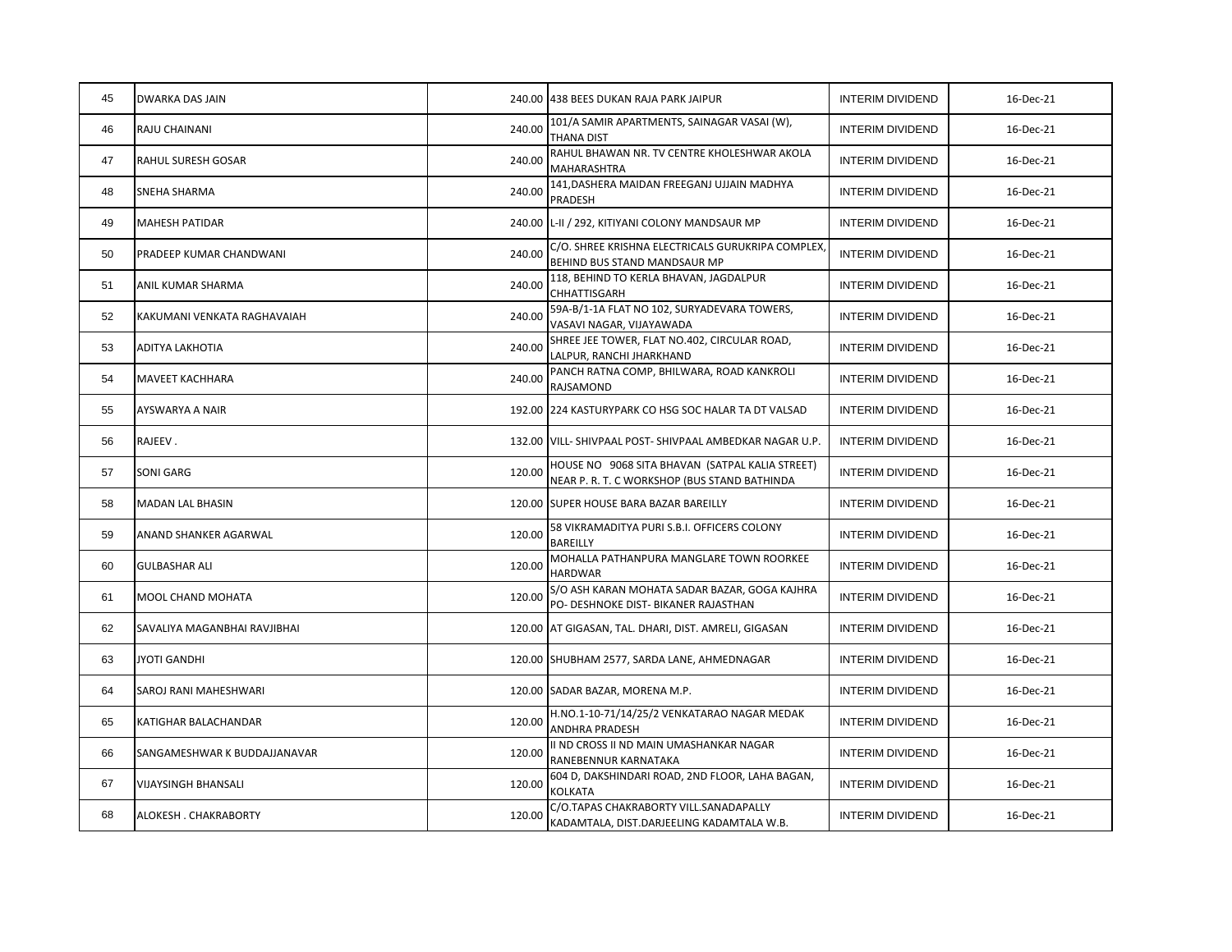| 45 | <b>DWARKA DAS JAIN</b>         |        | 240.00 438 BEES DUKAN RAJA PARK JAIPUR                                                          | <b>INTERIM DIVIDEND</b> | 16-Dec-21 |
|----|--------------------------------|--------|-------------------------------------------------------------------------------------------------|-------------------------|-----------|
| 46 | <b>RAJU CHAINANI</b>           | 240.00 | 101/A SAMIR APARTMENTS, SAINAGAR VASAI (W),<br><b>THANA DIST</b>                                | <b>INTERIM DIVIDEND</b> | 16-Dec-21 |
| 47 | <b>RAHUL SURESH GOSAR</b>      | 240.00 | RAHUL BHAWAN NR. TV CENTRE KHOLESHWAR AKOLA<br><b>MAHARASHTRA</b>                               | <b>INTERIM DIVIDEND</b> | 16-Dec-21 |
| 48 | <b>SNEHA SHARMA</b>            | 240.00 | 141, DASHERA MAIDAN FREEGANJ UJJAIN MADHYA<br>PRADESH                                           | <b>INTERIM DIVIDEND</b> | 16-Dec-21 |
| 49 | <b>MAHESH PATIDAR</b>          |        | 240.00 L-II / 292, KITIYANI COLONY MANDSAUR MP                                                  | <b>INTERIM DIVIDEND</b> | 16-Dec-21 |
| 50 | <b>PRADEEP KUMAR CHANDWANI</b> | 240.00 | C/O. SHREE KRISHNA ELECTRICALS GURUKRIPA COMPLEX,<br>BEHIND BUS STAND MANDSAUR MP               | <b>INTERIM DIVIDEND</b> | 16-Dec-21 |
| 51 | ANIL KUMAR SHARMA              | 240.00 | 118, BEHIND TO KERLA BHAVAN, JAGDALPUR<br>CHHATTISGARH                                          | <b>INTERIM DIVIDEND</b> | 16-Dec-21 |
| 52 | KAKUMANI VENKATA RAGHAVAIAH    | 240.00 | 59A-B/1-1A FLAT NO 102, SURYADEVARA TOWERS,<br>VASAVI NAGAR, VIJAYAWADA                         | <b>INTERIM DIVIDEND</b> | 16-Dec-21 |
| 53 | <b>ADITYA LAKHOTIA</b>         | 240.00 | SHREE JEE TOWER, FLAT NO.402, CIRCULAR ROAD,<br>LALPUR, RANCHI JHARKHAND                        | <b>INTERIM DIVIDEND</b> | 16-Dec-21 |
| 54 | <b>MAVEET KACHHARA</b>         | 240.00 | PANCH RATNA COMP, BHILWARA, ROAD KANKROLI<br><b>RAJSAMOND</b>                                   | <b>INTERIM DIVIDEND</b> | 16-Dec-21 |
| 55 | <b>AYSWARYA A NAIR</b>         |        | 192.00 224 KASTURYPARK CO HSG SOC HALAR TA DT VALSAD                                            | <b>INTERIM DIVIDEND</b> | 16-Dec-21 |
| 56 | RAJEEV.                        |        | 132.00 VILL- SHIVPAAL POST- SHIVPAAL AMBEDKAR NAGAR U.P.                                        | <b>INTERIM DIVIDEND</b> | 16-Dec-21 |
| 57 | <b>SONI GARG</b>               | 120.00 | HOUSE NO 9068 SITA BHAVAN (SATPAL KALIA STREET)<br>NEAR P. R. T. C WORKSHOP (BUS STAND BATHINDA | <b>INTERIM DIVIDEND</b> | 16-Dec-21 |
| 58 | <b>MADAN LAL BHASIN</b>        |        | 120.00 SUPER HOUSE BARA BAZAR BAREILLY                                                          | <b>INTERIM DIVIDEND</b> | 16-Dec-21 |
| 59 | <b>ANAND SHANKER AGARWAL</b>   | 120.00 | 58 VIKRAMADITYA PURI S.B.I. OFFICERS COLONY<br>BAREILLY                                         | <b>INTERIM DIVIDEND</b> | 16-Dec-21 |
| 60 | <b>GULBASHAR ALI</b>           | 120.00 | MOHALLA PATHANPURA MANGLARE TOWN ROORKEE<br><b>HARDWAR</b>                                      | <b>INTERIM DIVIDEND</b> | 16-Dec-21 |
| 61 | <b>MOOL CHAND MOHATA</b>       | 120.00 | S/O ASH KARAN MOHATA SADAR BAZAR, GOGA KAJHRA<br>PO- DESHNOKE DIST- BIKANER RAJASTHAN           | <b>INTERIM DIVIDEND</b> | 16-Dec-21 |
| 62 | SAVALIYA MAGANBHAI RAVJIBHAI   |        | 120.00 AT GIGASAN, TAL. DHARI, DIST. AMRELI, GIGASAN                                            | <b>INTERIM DIVIDEND</b> | 16-Dec-21 |
| 63 | JYOTI GANDHI                   |        | 120.00 SHUBHAM 2577, SARDA LANE, AHMEDNAGAR                                                     | <b>INTERIM DIVIDEND</b> | 16-Dec-21 |
| 64 | <b>SAROJ RANI MAHESHWARI</b>   |        | 120.00 SADAR BAZAR, MORENA M.P.                                                                 | <b>INTERIM DIVIDEND</b> | 16-Dec-21 |
| 65 | KATIGHAR BALACHANDAR           | 120.00 | H.NO.1-10-71/14/25/2 VENKATARAO NAGAR MEDAK<br>ANDHRA PRADESH                                   | <b>INTERIM DIVIDEND</b> | 16-Dec-21 |
| 66 | SANGAMESHWAR K BUDDAJJANAVAR   | 120.00 | II ND CROSS II ND MAIN UMASHANKAR NAGAR<br>RANEBENNUR KARNATAKA                                 | <b>INTERIM DIVIDEND</b> | 16-Dec-21 |
| 67 | <b>VIJAYSINGH BHANSALI</b>     | 120.00 | 604 D, DAKSHINDARI ROAD, 2ND FLOOR, LAHA BAGAN,<br><b>KOLKATA</b>                               | <b>INTERIM DIVIDEND</b> | 16-Dec-21 |
| 68 | ALOKESH. CHAKRABORTY           | 120.00 | C/O.TAPAS CHAKRABORTY VILL.SANADAPALLY<br>KADAMTALA, DIST.DARJEELING KADAMTALA W.B.             | <b>INTERIM DIVIDEND</b> | 16-Dec-21 |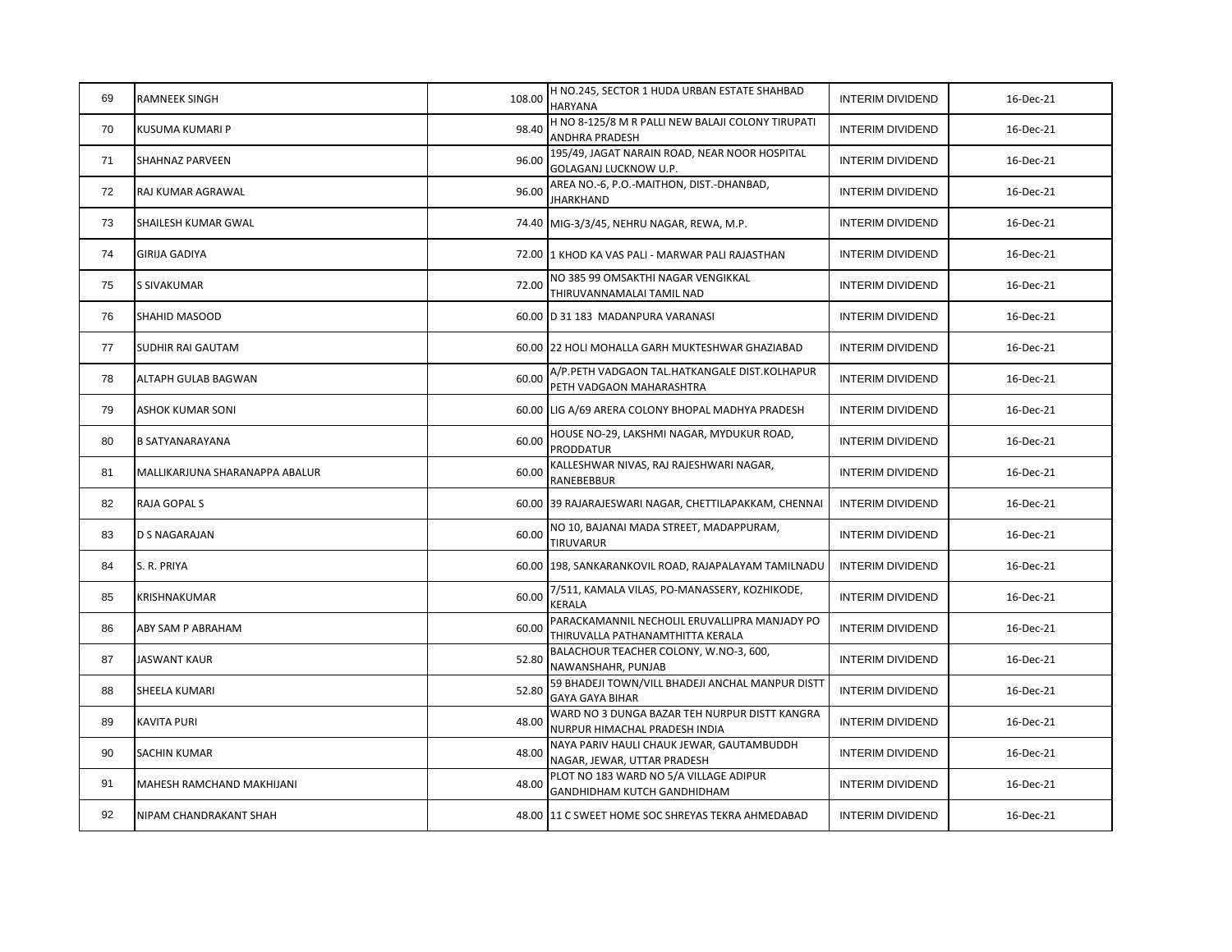| 69 | RAMNEEK SINGH                  | 108.00 | H NO.245, SECTOR 1 HUDA URBAN ESTATE SHAHBAD<br><b>HARYANA</b>                    | <b>INTERIM DIVIDEND</b> | 16-Dec-21 |
|----|--------------------------------|--------|-----------------------------------------------------------------------------------|-------------------------|-----------|
| 70 | KUSUMA KUMARI P                | 98.40  | H NO 8-125/8 M R PALLI NEW BALAJI COLONY TIRUPATI<br>ANDHRA PRADESH               | <b>INTERIM DIVIDEND</b> | 16-Dec-21 |
| 71 | SHAHNAZ PARVEEN                | 96.00  | 195/49, JAGAT NARAIN ROAD, NEAR NOOR HOSPITAL<br>GOLAGANJ LUCKNOW U.P.            | <b>INTERIM DIVIDEND</b> | 16-Dec-21 |
| 72 | RAJ KUMAR AGRAWAL              | 96.00  | AREA NO.-6, P.O.-MAITHON, DIST.-DHANBAD,<br>JHARKHAND                             | <b>INTERIM DIVIDEND</b> | 16-Dec-21 |
| 73 | SHAILESH KUMAR GWAL            |        | 74.40 MIG-3/3/45, NEHRU NAGAR, REWA, M.P.                                         | <b>INTERIM DIVIDEND</b> | 16-Dec-21 |
| 74 | GIRIJA GADIYA                  |        | 72.00 1 KHOD KA VAS PALI - MARWAR PALI RAJASTHAN                                  | <b>INTERIM DIVIDEND</b> | 16-Dec-21 |
| 75 | <b>S SIVAKUMAR</b>             | 72.00  | NO 385 99 OMSAKTHI NAGAR VENGIKKAL<br>THIRUVANNAMALAI TAMIL NAD                   | <b>INTERIM DIVIDEND</b> | 16-Dec-21 |
| 76 | SHAHID MASOOD                  |        | 60.00 D 31 183 MADANPURA VARANASI                                                 | <b>INTERIM DIVIDEND</b> | 16-Dec-21 |
| 77 | <b>SUDHIR RAI GAUTAM</b>       |        | 60.00 22 HOLI MOHALLA GARH MUKTESHWAR GHAZIABAD                                   | <b>INTERIM DIVIDEND</b> | 16-Dec-21 |
| 78 | ALTAPH GULAB BAGWAN            | 60.00  | A/P.PETH VADGAON TAL.HATKANGALE DIST.KOLHAPUR<br>PETH VADGAON MAHARASHTRA         | <b>INTERIM DIVIDEND</b> | 16-Dec-21 |
| 79 | ASHOK KUMAR SONI               |        | 60.00 LIG A/69 ARERA COLONY BHOPAL MADHYA PRADESH                                 | <b>INTERIM DIVIDEND</b> | 16-Dec-21 |
| 80 | <b>B SATYANARAYANA</b>         | 60.00  | HOUSE NO-29, LAKSHMI NAGAR, MYDUKUR ROAD,<br><b>PRODDATUR</b>                     | <b>INTERIM DIVIDEND</b> | 16-Dec-21 |
| 81 | MALLIKARJUNA SHARANAPPA ABALUR | 60.00  | KALLESHWAR NIVAS, RAJ RAJESHWARI NAGAR,<br>RANEBEBBUR                             | <b>INTERIM DIVIDEND</b> | 16-Dec-21 |
| 82 | RAJA GOPAL S                   |        | 60.00 39 RAJARAJESWARI NAGAR, CHETTILAPAKKAM, CHENNAI                             | <b>INTERIM DIVIDEND</b> | 16-Dec-21 |
| 83 | D S NAGARAJAN                  | 60.00  | NO 10, BAJANAI MADA STREET, MADAPPURAM,<br>TIRUVARUR                              | <b>INTERIM DIVIDEND</b> | 16-Dec-21 |
| 84 | S. R. PRIYA                    |        | 60.00 198, SANKARANKOVIL ROAD, RAJAPALAYAM TAMILNADU                              | <b>INTERIM DIVIDEND</b> | 16-Dec-21 |
| 85 | KRISHNAKUMAR                   | 60.00  | 7/511, KAMALA VILAS, PO-MANASSERY, KOZHIKODE,<br>KERALA                           | <b>INTERIM DIVIDEND</b> | 16-Dec-21 |
| 86 | ABY SAM P ABRAHAM              | 60.00  | PARACKAMANNIL NECHOLIL ERUVALLIPRA MANJADY PO<br>THIRUVALLA PATHANAMTHITTA KERALA | <b>INTERIM DIVIDEND</b> | 16-Dec-21 |
| 87 | <b>JASWANT KAUR</b>            | 52.80  | BALACHOUR TEACHER COLONY, W.NO-3, 600,<br>NAWANSHAHR, PUNJAB                      | <b>INTERIM DIVIDEND</b> | 16-Dec-21 |
| 88 | SHEELA KUMARI                  | 52.80  | 59 BHADEJI TOWN/VILL BHADEJI ANCHAL MANPUR DISTT<br><b>GAYA GAYA BIHAR</b>        | <b>INTERIM DIVIDEND</b> | 16-Dec-21 |
| 89 | KAVITA PURI                    | 48.00  | WARD NO 3 DUNGA BAZAR TEH NURPUR DISTT KANGRA<br>NURPUR HIMACHAL PRADESH INDIA    | <b>INTERIM DIVIDEND</b> | 16-Dec-21 |
| 90 | SACHIN KUMAR                   | 48.00  | NAYA PARIV HAULI CHAUK JEWAR, GAUTAMBUDDH<br>NAGAR, JEWAR, UTTAR PRADESH          | <b>INTERIM DIVIDEND</b> | 16-Dec-21 |
| 91 | MAHESH RAMCHAND MAKHIJANI      | 48.00  | PLOT NO 183 WARD NO 5/A VILLAGE ADIPUR<br>GANDHIDHAM KUTCH GANDHIDHAM             | <b>INTERIM DIVIDEND</b> | 16-Dec-21 |
| 92 | NIPAM CHANDRAKANT SHAH         |        | 48.00 11 C SWEET HOME SOC SHREYAS TEKRA AHMEDABAD                                 | <b>INTERIM DIVIDEND</b> | 16-Dec-21 |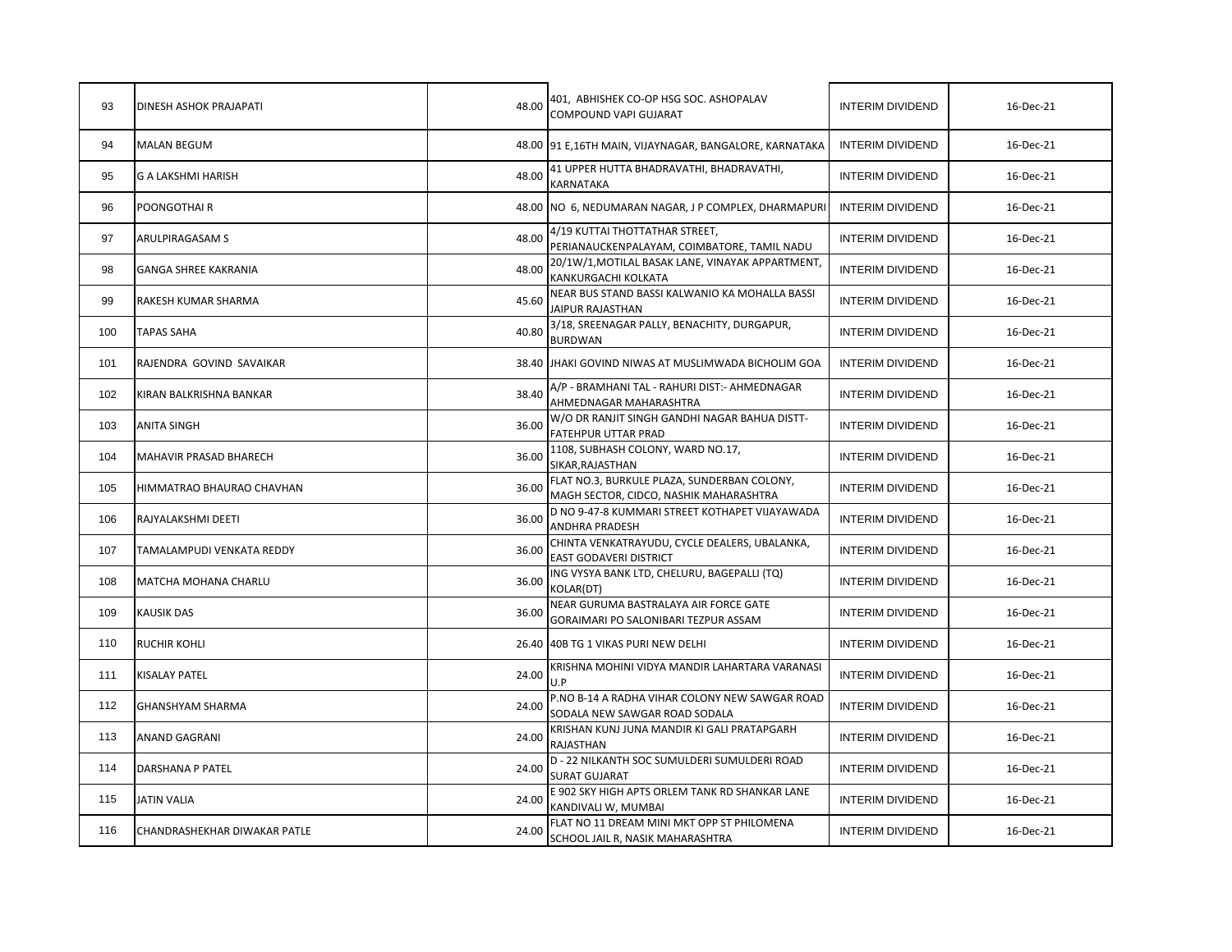| 93  | DINESH ASHOK PRAJAPATI       | 48.00 | 401, ABHISHEK CO-OP HSG SOC. ASHOPALAV<br>COMPOUND VAPI GUJARAT                       | <b>INTERIM DIVIDEND</b> | 16-Dec-21 |
|-----|------------------------------|-------|---------------------------------------------------------------------------------------|-------------------------|-----------|
| 94  | <b>MALAN BEGUM</b>           |       | 48.00 91 E,16TH MAIN, VIJAYNAGAR, BANGALORE, KARNATAKA                                | <b>INTERIM DIVIDEND</b> | 16-Dec-21 |
| 95  | G A LAKSHMI HARISH           | 48.00 | 41 UPPER HUTTA BHADRAVATHI, BHADRAVATHI,<br><b>KARNATAKA</b>                          | <b>INTERIM DIVIDEND</b> | 16-Dec-21 |
| 96  | POONGOTHAI R                 |       | 48.00 NO 6, NEDUMARAN NAGAR, J P COMPLEX, DHARMAPURI                                  | <b>INTERIM DIVIDEND</b> | 16-Dec-21 |
| 97  | ARULPIRAGASAM S              | 48.00 | 4/19 KUTTAI THOTTATHAR STREET,<br>PERIANAUCKENPALAYAM, COIMBATORE, TAMIL NADU         | <b>INTERIM DIVIDEND</b> | 16-Dec-21 |
| 98  | GANGA SHREE KAKRANIA         | 48.00 | 20/1W/1, MOTILAL BASAK LANE, VINAYAK APPARTMENT,<br>KANKURGACHI KOLKATA               | <b>INTERIM DIVIDEND</b> | 16-Dec-21 |
| 99  | RAKESH KUMAR SHARMA          | 45.60 | NEAR BUS STAND BASSI KALWANIO KA MOHALLA BASSI<br>JAIPUR RAJASTHAN                    | <b>INTERIM DIVIDEND</b> | 16-Dec-21 |
| 100 | <b>TAPAS SAHA</b>            | 40.80 | 3/18, SREENAGAR PALLY, BENACHITY, DURGAPUR,<br><b>BURDWAN</b>                         | <b>INTERIM DIVIDEND</b> | 16-Dec-21 |
| 101 | RAJENDRA GOVIND SAVAIKAR     |       | 38.40 JHAKI GOVIND NIWAS AT MUSLIMWADA BICHOLIM GOA                                   | <b>INTERIM DIVIDEND</b> | 16-Dec-21 |
| 102 | KIRAN BALKRISHNA BANKAR      | 38.40 | A/P - BRAMHANI TAL - RAHURI DIST: - AHMEDNAGAR<br>AHMEDNAGAR MAHARASHTRA              | <b>INTERIM DIVIDEND</b> | 16-Dec-21 |
| 103 | ANITA SINGH                  | 36.00 | W/O DR RANJIT SINGH GANDHI NAGAR BAHUA DISTT-<br><b>FATEHPUR UTTAR PRAD</b>           | <b>INTERIM DIVIDEND</b> | 16-Dec-21 |
| 104 | MAHAVIR PRASAD BHARECH       | 36.00 | 1108, SUBHASH COLONY, WARD NO.17,<br>SIKAR, RAJASTHAN                                 | <b>INTERIM DIVIDEND</b> | 16-Dec-21 |
| 105 | HIMMATRAO BHAURAO CHAVHAN    | 36.00 | FLAT NO.3, BURKULE PLAZA, SUNDERBAN COLONY,<br>MAGH SECTOR, CIDCO, NASHIK MAHARASHTRA | <b>INTERIM DIVIDEND</b> | 16-Dec-21 |
| 106 | RAJYALAKSHMI DEETI           | 36.00 | D NO 9-47-8 KUMMARI STREET KOTHAPET VIJAYAWADA<br>ANDHRA PRADESH                      | <b>INTERIM DIVIDEND</b> | 16-Dec-21 |
| 107 | TAMALAMPUDI VENKATA REDDY    | 36.00 | CHINTA VENKATRAYUDU, CYCLE DEALERS, UBALANKA,<br>EAST GODAVERI DISTRICT               | <b>INTERIM DIVIDEND</b> | 16-Dec-21 |
| 108 | MATCHA MOHANA CHARLU         | 36.00 | ING VYSYA BANK LTD, CHELURU, BAGEPALLI (TQ)<br>KOLAR(DT)                              | <b>INTERIM DIVIDEND</b> | 16-Dec-21 |
| 109 | <b>KAUSIK DAS</b>            | 36.00 | NEAR GURUMA BASTRALAYA AIR FORCE GATE<br>GORAIMARI PO SALONIBARI TEZPUR ASSAM         | <b>INTERIM DIVIDEND</b> | 16-Dec-21 |
| 110 | <b>RUCHIR KOHLI</b>          |       | 26.40 40B TG 1 VIKAS PURI NEW DELHI                                                   | <b>INTERIM DIVIDEND</b> | 16-Dec-21 |
| 111 | KISALAY PATEL                | 24.00 | KRISHNA MOHINI VIDYA MANDIR LAHARTARA VARANASI<br>U.P                                 | <b>INTERIM DIVIDEND</b> | 16-Dec-21 |
| 112 | GHANSHYAM SHARMA             | 24.00 | P.NO B-14 A RADHA VIHAR COLONY NEW SAWGAR ROAD<br>SODALA NEW SAWGAR ROAD SODALA       | <b>INTERIM DIVIDEND</b> | 16-Dec-21 |
| 113 | ANAND GAGRANI                | 24.00 | KRISHAN KUNJ JUNA MANDIR KI GALI PRATAPGARH<br><b>RAJASTHAN</b>                       | <b>INTERIM DIVIDEND</b> | 16-Dec-21 |
| 114 | DARSHANA P PATEL             | 24.00 | D - 22 NILKANTH SOC SUMULDERI SUMULDERI ROAD<br><b>SURAT GUJARAT</b>                  | <b>INTERIM DIVIDEND</b> | 16-Dec-21 |
| 115 | JATIN VALIA                  | 24.00 | E 902 SKY HIGH APTS ORLEM TANK RD SHANKAR LANE<br>KANDIVALI W, MUMBAI                 | <b>INTERIM DIVIDEND</b> | 16-Dec-21 |
| 116 | CHANDRASHEKHAR DIWAKAR PATLE | 24.00 | FLAT NO 11 DREAM MINI MKT OPP ST PHILOMENA<br>SCHOOL JAIL R, NASIK MAHARASHTRA        | <b>INTERIM DIVIDEND</b> | 16-Dec-21 |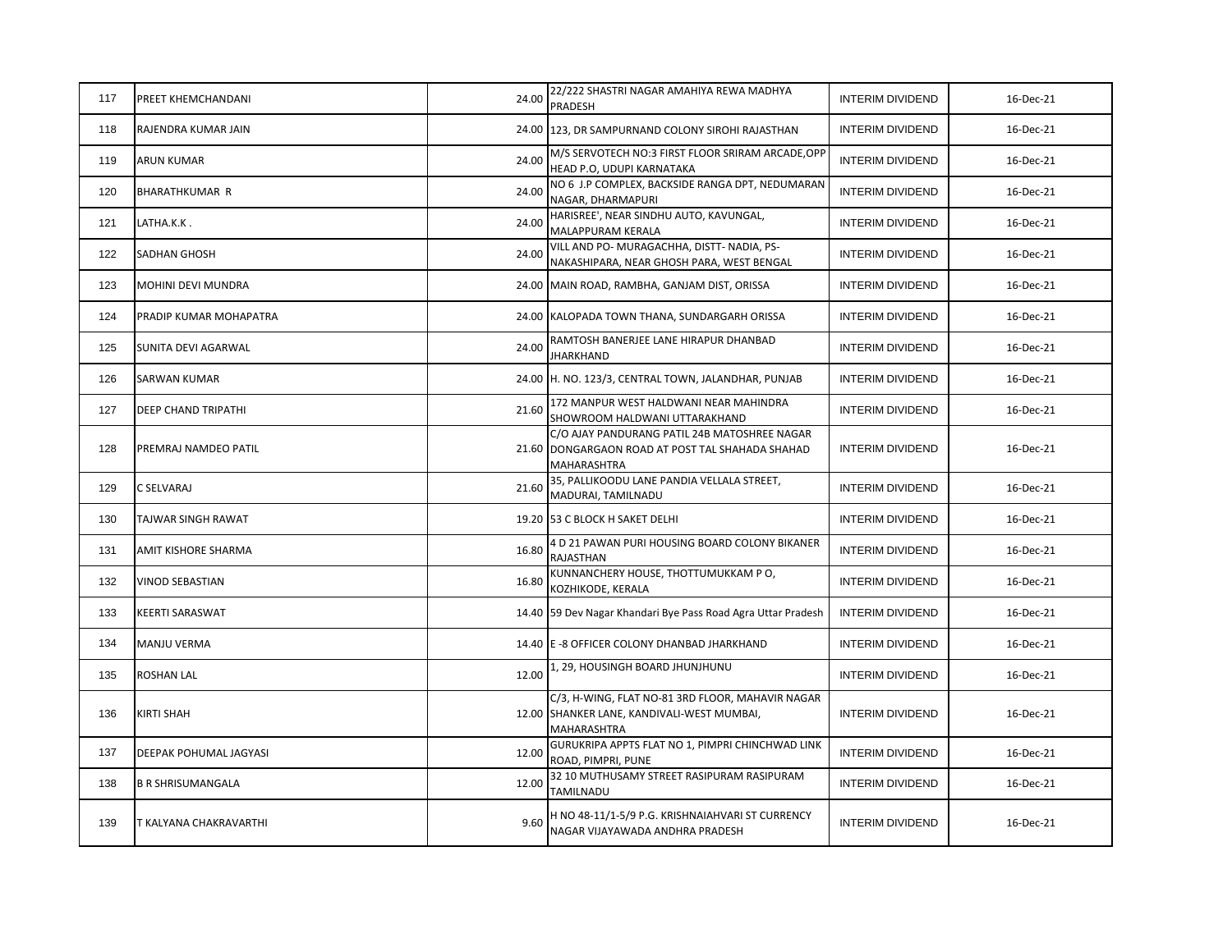| 117 | PREET KHEMCHANDANI       | 24.00 | 22/222 SHASTRI NAGAR AMAHIYA REWA MADHYA<br>PRADESH                                                             | <b>INTERIM DIVIDEND</b> | 16-Dec-21 |
|-----|--------------------------|-------|-----------------------------------------------------------------------------------------------------------------|-------------------------|-----------|
| 118 | RAJENDRA KUMAR JAIN      |       | 24.00 123, DR SAMPURNAND COLONY SIROHI RAJASTHAN                                                                | <b>INTERIM DIVIDEND</b> | 16-Dec-21 |
| 119 | ARUN KUMAR               | 24.00 | M/S SERVOTECH NO:3 FIRST FLOOR SRIRAM ARCADE, OPP<br>HEAD P.O, UDUPI KARNATAKA                                  | <b>INTERIM DIVIDEND</b> | 16-Dec-21 |
| 120 | <b>BHARATHKUMAR R</b>    | 24.00 | NO 6 J.P COMPLEX, BACKSIDE RANGA DPT, NEDUMARAN<br>NAGAR, DHARMAPURI                                            | <b>INTERIM DIVIDEND</b> | 16-Dec-21 |
| 121 | LATHA.K.K.               | 24.00 | HARISREE', NEAR SINDHU AUTO, KAVUNGAL,<br>MALAPPURAM KERALA                                                     | <b>INTERIM DIVIDEND</b> | 16-Dec-21 |
| 122 | SADHAN GHOSH             | 24.00 | VILL AND PO- MURAGACHHA, DISTT- NADIA, PS-<br>NAKASHIPARA, NEAR GHOSH PARA, WEST BENGAL                         | <b>INTERIM DIVIDEND</b> | 16-Dec-21 |
| 123 | MOHINI DEVI MUNDRA       |       | 24.00 MAIN ROAD, RAMBHA, GANJAM DIST, ORISSA                                                                    | <b>INTERIM DIVIDEND</b> | 16-Dec-21 |
| 124 | PRADIP KUMAR MOHAPATRA   |       | 24.00 KALOPADA TOWN THANA, SUNDARGARH ORISSA                                                                    | <b>INTERIM DIVIDEND</b> | 16-Dec-21 |
| 125 | SUNITA DEVI AGARWAL      | 24.00 | RAMTOSH BANERJEE LANE HIRAPUR DHANBAD<br><b>JHARKHAND</b>                                                       | <b>INTERIM DIVIDEND</b> | 16-Dec-21 |
| 126 | SARWAN KUMAR             |       | 24.00 H. NO. 123/3, CENTRAL TOWN, JALANDHAR, PUNJAB                                                             | <b>INTERIM DIVIDEND</b> | 16-Dec-21 |
| 127 | DEEP CHAND TRIPATHI      | 21.60 | 172 MANPUR WEST HALDWANI NEAR MAHINDRA<br>SHOWROOM HALDWANI UTTARAKHAND                                         | <b>INTERIM DIVIDEND</b> | 16-Dec-21 |
| 128 | PREMRAJ NAMDEO PATIL     |       | C/O AJAY PANDURANG PATIL 24B MATOSHREE NAGAR<br>21.60 DONGARGAON ROAD AT POST TAL SHAHADA SHAHAD<br>MAHARASHTRA | <b>INTERIM DIVIDEND</b> | 16-Dec-21 |
| 129 | C SELVARAJ               | 21.60 | 35, PALLIKOODU LANE PANDIA VELLALA STREET,<br>MADURAI, TAMILNADU                                                | <b>INTERIM DIVIDEND</b> | 16-Dec-21 |
| 130 | TAJWAR SINGH RAWAT       |       | 19.20 53 C BLOCK H SAKET DELHI                                                                                  | <b>INTERIM DIVIDEND</b> | 16-Dec-21 |
| 131 | AMIT KISHORE SHARMA      | 16.80 | 4 D 21 PAWAN PURI HOUSING BOARD COLONY BIKANER<br><b>RAJASTHAN</b>                                              | <b>INTERIM DIVIDEND</b> | 16-Dec-21 |
| 132 | VINOD SEBASTIAN          | 16.80 | KUNNANCHERY HOUSE, THOTTUMUKKAM PO,<br>KOZHIKODE, KERALA                                                        | <b>INTERIM DIVIDEND</b> | 16-Dec-21 |
| 133 | KEERTI SARASWAT          |       | 14.40 59 Dev Nagar Khandari Bye Pass Road Agra Uttar Pradesh                                                    | <b>INTERIM DIVIDEND</b> | 16-Dec-21 |
| 134 | MANJU VERMA              |       | 14.40 E -8 OFFICER COLONY DHANBAD JHARKHAND                                                                     | <b>INTERIM DIVIDEND</b> | 16-Dec-21 |
| 135 | ROSHAN LAL               | 12.00 | 1, 29, HOUSINGH BOARD JHUNJHUNU                                                                                 | <b>INTERIM DIVIDEND</b> | 16-Dec-21 |
| 136 | KIRTI SHAH               |       | C/3, H-WING, FLAT NO-81 3RD FLOOR, MAHAVIR NAGAR<br>12.00 SHANKER LANE, KANDIVALI-WEST MUMBAI,<br>MAHARASHTRA   | <b>INTERIM DIVIDEND</b> | 16-Dec-21 |
| 137 | DEEPAK POHUMAL JAGYASI   | 12.00 | GURUKRIPA APPTS FLAT NO 1, PIMPRI CHINCHWAD LINK<br>ROAD, PIMPRI, PUNE                                          | <b>INTERIM DIVIDEND</b> | 16-Dec-21 |
| 138 | <b>B R SHRISUMANGALA</b> | 12.00 | 32 10 MUTHUSAMY STREET RASIPURAM RASIPURAM<br>TAMILNADU                                                         | <b>INTERIM DIVIDEND</b> | 16-Dec-21 |
| 139 | T KALYANA CHAKRAVARTHI   | 9.60  | H NO 48-11/1-5/9 P.G. KRISHNAIAHVARI ST CURRENCY<br>NAGAR VIJAYAWADA ANDHRA PRADESH                             | <b>INTERIM DIVIDEND</b> | 16-Dec-21 |